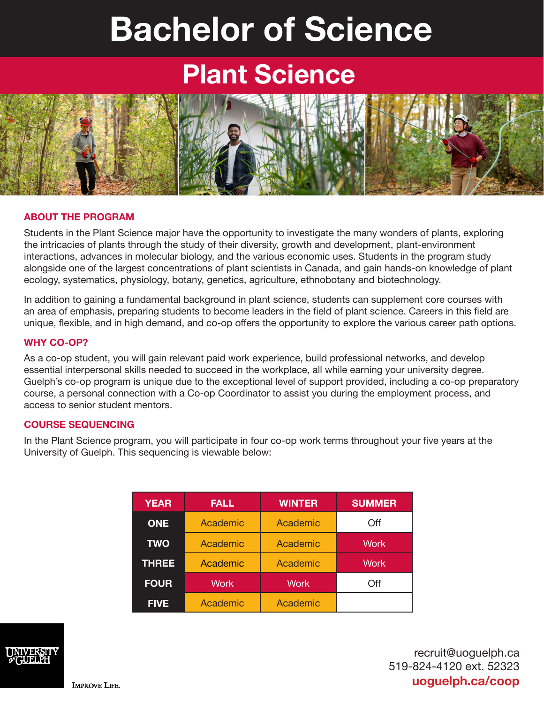# **Bachelor of Science**

## **Plant Science**



#### **ABOUT THE PROGRAM**

Students in the Plant Science major have the opportunity to investigate the many wonders of plants, exploring the intricacies of plants through the study of their diversity, growth and development, plant-environment interactions, advances in molecular biology, and the various economic uses. Students in the program study alongside one of the largest concentrations of plant scientists in Canada, and gain hands-on knowledge of plant ecology, systematics, physiology, botany, genetics, agriculture, ethnobotany and biotechnology.

In addition to gaining a fundamental background in plant science, students can supplement core courses with an area of emphasis, preparing students to become leaders in the field of plant science. Careers in this field are unique, flexible, and in high demand, and co-op offers the opportunity to explore the various career path options.

#### **WHY CO-OP?**

As a co-op student, you will gain relevant paid work experience, build professional networks, and develop essential interpersonal skills needed to succeed in the workplace, all while earning your university degree. Guelph's co-op program is unique due to the exceptional level of support provided, including a co-op preparatory course, a personal connection with a Co-op Coordinator to assist you during the employment process, and access to senior student mentors.

#### **COURSE SEQUENCING**

In the Plant Science program, you will participate in four co-op work terms throughout your five years at the University of Guelph. This sequencing is viewable below:

| <b>YEAR</b>  | <b>FALL</b> | <b>WINTER</b> | <b>SUMMER</b> |
|--------------|-------------|---------------|---------------|
| <b>ONE</b>   | Academic    | Academic      | Off           |
| <b>TWO</b>   | Academic    | Academic      | <b>Work</b>   |
| <b>THREE</b> | Academic    | Academic      | <b>Work</b>   |
| <b>FOUR</b>  | <b>Work</b> | <b>Work</b>   | Off           |
| <b>FIVE</b>  | Academic    | Academic      |               |



recruit@uoguelph.ca 519-824-4120 ext. 52323 **uoguelph.ca/coop**